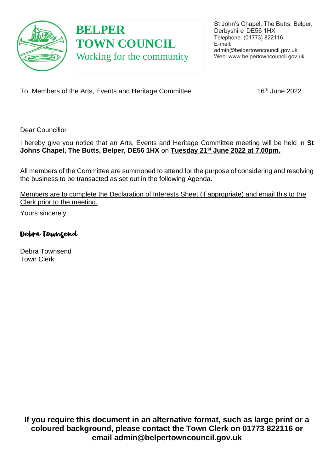

# **BELPER TOWN COUNCIL** Working for the community

To: Members of the Arts, Events and Heritage Committee 16th June 2022

Dear Councillor

I hereby give you notice that an Arts, Events and Heritage Committee meeting will be held in **St Johns Chapel, The Butts, Belper, DE56 1HX** on **Tuesday 21st June 2022 at 7.00pm.** 

All members of the Committee are summoned to attend for the purpose of considering and resolving the business to be transacted as set out in the following Agenda.

Members are to complete the Declaration of Interests Sheet (if appropriate) and email this to the Clerk prior to the meeting.

Yours sincerely

Debra Townsend

Debra Townsend Town Clerk

**If you require this document in an alternative format, such as large print or a coloured background, please contact the Town Clerk on 01773 822116 or email admin@belpertowncouncil.gov.uk**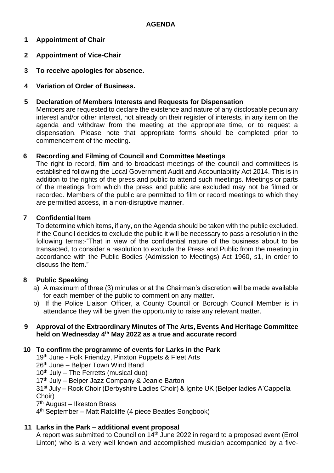# **1 Appointment of Chair**

- **2 Appointment of Vice-Chair**
- **3 To receive apologies for absence.**
- **4 Variation of Order of Business.**

## **5 Declaration of Members Interests and Requests for Dispensation**

Members are requested to declare the existence and nature of any disclosable pecuniary interest and/or other interest, not already on their register of interests, in any item on the agenda and withdraw from the meeting at the appropriate time, or to request a dispensation. Please note that appropriate forms should be completed prior to commencement of the meeting.

## **6 Recording and Filming of Council and Committee Meetings**

The right to record, film and to broadcast meetings of the council and committees is established following the Local Government Audit and Accountability Act 2014. This is in addition to the rights of the press and public to attend such meetings. Meetings or parts of the meetings from which the press and public are excluded may not be filmed or recorded. Members of the public are permitted to film or record meetings to which they are permitted access, in a non-disruptive manner.

## **7 Confidential Item**

To determine which items, if any, on the Agenda should be taken with the public excluded. If the Council decides to exclude the public it will be necessary to pass a resolution in the following terms:-"That in view of the confidential nature of the business about to be transacted, to consider a resolution to exclude the Press and Public from the meeting in accordance with the Public Bodies (Admission to Meetings) Act 1960, s1, in order to discuss the item."

# **8 Public Speaking**

- a) A maximum of three (3) minutes or at the Chairman's discretion will be made available for each member of the public to comment on any matter.
- b) If the Police Liaison Officer, a County Council or Borough Council Member is in attendance they will be given the opportunity to raise any relevant matter.

#### **9 Approval of the Extraordinary Minutes of The Arts, Events And Heritage Committee held on Wednesday 4th May 2022 as a true and accurate record**

#### **10 To confirm the programme of events for Larks in the Park**

19<sup>th</sup> June - Folk Friendzy, Pinxton Puppets & Fleet Arts

- $26<sup>th</sup>$  June Belper Town Wind Band
- $10<sup>th</sup>$  July The Ferretts (musical duo)

17<sup>th</sup> July – Belper Jazz Company & Jeanie Barton

31st July – Rock Choir (Derbyshire Ladies Choir) & Ignite UK (Belper ladies A'Cappella Choir)

7 th August – Ilkeston Brass

4 th September – Matt Ratcliffe (4 piece Beatles Songbook)

# **11 Larks in the Park – additional event proposal**

A report was submitted to Council on 14th June 2022 in regard to a proposed event (Errol Linton) who is a very well known and accomplished musician accompanied by a five-